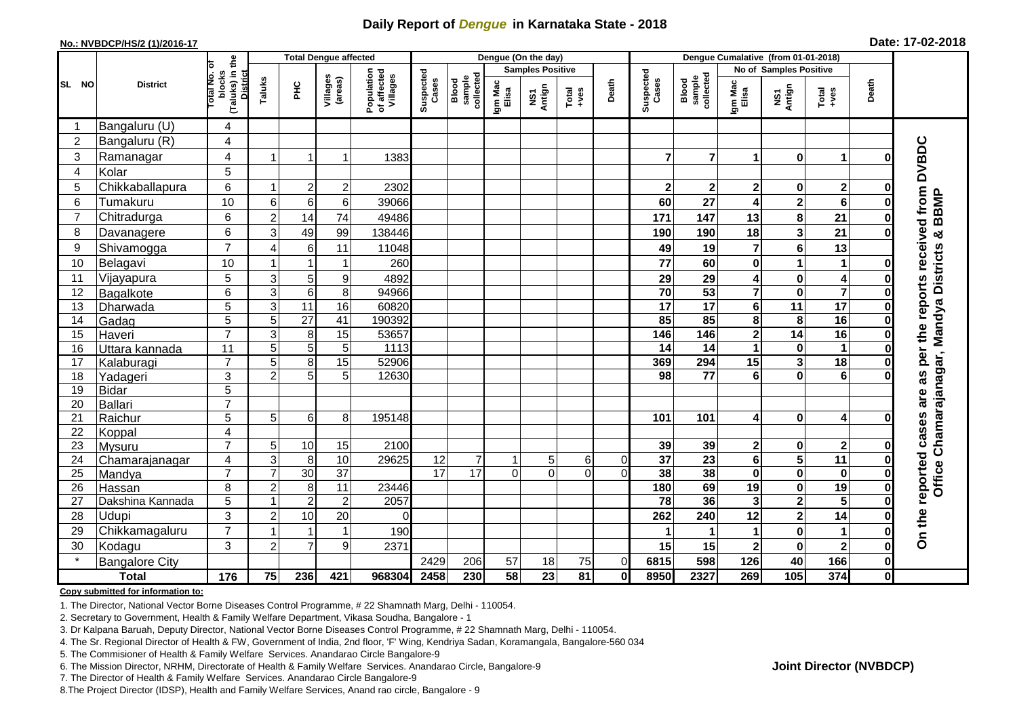## **Daily Report of** *Dengue* **in Karnataka State - 2018**

#### **No.: NVBDCP/HS/2 (1)/2016-17**

|  |  | Date: 17-02-2018 |
|--|--|------------------|
|--|--|------------------|

|                  |                            |                                  |                                                       |                     | <b>Total Dengue affected</b> |                     |                                       |                         |                              | Dengue (On the day) |                 |                                                                        |                 |                        |                              |                                      |                         |                  |                                                                     |  |
|------------------|----------------------------|----------------------------------|-------------------------------------------------------|---------------------|------------------------------|---------------------|---------------------------------------|-------------------------|------------------------------|---------------------|-----------------|------------------------------------------------------------------------|-----------------|------------------------|------------------------------|--------------------------------------|-------------------------|------------------|---------------------------------------------------------------------|--|
|                  |                            |                                  |                                                       |                     |                              |                     |                                       | <b>Samples Positive</b> |                              |                     |                 |                                                                        |                 | No of Samples Positive |                              |                                      |                         |                  |                                                                     |  |
| SL NO            | <b>District</b>            |                                  | (Taluks) in the<br>District<br>lotal No. ol<br>blocks | Taluks              | $rac{C}{\pi}$                | Villages<br>(areas) | Population<br>of affected<br>Villages | Suspected<br>Cases      | sample<br>collected<br>Blood | Igm Mac<br>Elisa    | NS1<br>Antign   | $\begin{array}{c}\n\text{Total} \\ \text{1}-\text{total}\n\end{array}$ | Death           | Suspected<br>Cases     | Blood<br>sample<br>collected | Igm Mac<br>Elisa                     | NS1<br>Antign           | Total<br>$+ve$ s | Death                                                               |  |
|                  | Bangaluru (U)              | 4                                |                                                       |                     |                              |                     |                                       |                         |                              |                     |                 |                                                                        |                 |                        |                              |                                      |                         |                  |                                                                     |  |
| $\boldsymbol{2}$ | Bangaluru (R)              | $\overline{\mathbf{4}}$          |                                                       |                     |                              |                     |                                       |                         |                              |                     |                 |                                                                        |                 |                        |                              |                                      |                         |                  |                                                                     |  |
| 3                | Ramanagar                  | 4                                | $\overline{\mathbf{1}}$                               |                     | 1                            | 1383                |                                       |                         |                              |                     |                 |                                                                        | 7               | $\overline{7}$         | 1                            | $\bf{0}$                             | $\mathbf 1$             | O                | <b>DVBDC</b>                                                        |  |
| 4                | Kolar                      | 5                                |                                                       |                     |                              |                     |                                       |                         |                              |                     |                 |                                                                        |                 |                        |                              |                                      |                         |                  |                                                                     |  |
| 5                | Chikkaballapura            | 6                                | -1                                                    | $\overline{2}$      | $\mathbf 2$                  | 2302                |                                       |                         |                              |                     |                 |                                                                        | $\mathbf{2}$    | $\mathbf{2}$           | $\overline{\mathbf{2}}$      | $\mathbf 0$                          | $\overline{\mathbf{2}}$ | 0                |                                                                     |  |
| 6                | Tumakuru                   | 10                               | 6                                                     | 6                   | 6                            | 39066               |                                       |                         |                              |                     |                 |                                                                        | 60              | 27                     | 4                            | $\mathbf{2}$                         | 6                       |                  | <b>BBMP</b>                                                         |  |
| $\overline{7}$   | Chitradurga                | 6                                | $\overline{2}$                                        | 14                  | 74                           | 49486               |                                       |                         |                              |                     |                 |                                                                        | 171             | 147                    | 13                           | 8                                    | 21                      | 0                |                                                                     |  |
| 8                | Davanagere                 | 6                                | 3                                                     | 49                  | 99                           | 138446              |                                       |                         |                              |                     |                 |                                                                        | 190             | 190                    | 18                           | $\overline{\mathbf{3}}$              | 21                      | 0                |                                                                     |  |
| 9                | Shivamogga                 | $\overline{7}$                   | $\overline{4}$                                        | 6                   | 11                           | 11048               |                                       |                         |                              |                     |                 |                                                                        | 49              | 19                     | 7                            | $6\phantom{a}$                       | 13                      |                  | per the reports received from<br>Chamarajanagar, Mandya Districts & |  |
| 10               | Belagavi                   | 10                               | $\overline{\mathbf{1}}$                               | 1                   | 1                            | 260                 |                                       |                         |                              |                     |                 |                                                                        | 77              | 60                     | 0                            | 1                                    | $\mathbf{1}$            | $\bf{0}$         |                                                                     |  |
| 11               | Vijayapura                 | 5                                | $\ensuremath{\mathsf{3}}$                             | 5                   | 9                            | 4892                |                                       |                         |                              |                     |                 |                                                                        | 29              | 29                     | 4                            | $\pmb{0}$                            | 4                       | 0                |                                                                     |  |
| 12               | Bagalkote                  | 6                                | $\overline{3}$                                        | $\overline{6}$      | 8                            | 94966               |                                       |                         |                              |                     |                 |                                                                        | 70              | 53                     | $\overline{\mathbf{7}}$      | $\overline{\mathbf{0}}$              | $\overline{\mathbf{7}}$ | 0                |                                                                     |  |
| 13               | Dharwada                   | 5                                | 3                                                     | 11                  | 16                           | 60820               |                                       |                         |                              |                     |                 |                                                                        | $\overline{17}$ | $\overline{17}$        | 6                            | 11                                   | 17                      | 0                |                                                                     |  |
| 14               | Gadag                      | $\overline{5}$                   | 5                                                     | $\overline{27}$     | 41                           | 190392              |                                       |                         |                              |                     |                 |                                                                        | 85              | 85                     | 8                            | 8                                    | $\overline{16}$         | O                |                                                                     |  |
| 15               | Haveri                     | $\overline{7}$                   | 3                                                     | 8                   | 15                           | 53657               |                                       |                         |                              |                     |                 |                                                                        | 146             | 146                    | $\overline{\mathbf{2}}$      | $\overline{14}$                      | 16                      | 0                |                                                                     |  |
| 16               | Uttara kannada             | 11                               | 5                                                     | $\overline{5}$      | 5                            | 1113                |                                       |                         |                              |                     |                 |                                                                        | 14              | 14                     | 1                            | $\bf{0}$                             | 1                       | 0                |                                                                     |  |
| 17               | Kalaburagi                 | $\overline{7}$                   | 5                                                     | 8                   | $\overline{15}$              | 52906               |                                       |                         |                              |                     |                 |                                                                        | 369             | 294                    | $\overline{15}$              | $\overline{\mathbf{3}}$              | $\overline{18}$         |                  |                                                                     |  |
| 18               | Yadageri                   | 3                                | $\overline{c}$                                        | 5                   | 5                            | 12630               |                                       |                         |                              |                     |                 |                                                                        | 98              | 77                     | 6                            | $\bf{0}$                             | $6\phantom{1}6$         |                  | 3B                                                                  |  |
| 19               | <b>Bidar</b>               | 5                                |                                                       |                     |                              |                     |                                       |                         |                              |                     |                 |                                                                        |                 |                        |                              |                                      |                         |                  | are                                                                 |  |
| 20               | <b>Ballari</b>             | $\overline{7}$                   |                                                       |                     |                              |                     |                                       |                         |                              |                     |                 |                                                                        |                 |                        |                              |                                      |                         |                  |                                                                     |  |
| 21               | Raichur                    | 5                                | 5                                                     | 6                   | 8                            | 195148              |                                       |                         |                              |                     |                 |                                                                        | 101             | 101                    | 4                            | $\bf{0}$                             | 4                       |                  |                                                                     |  |
| 22               | Koppal                     | $\overline{\mathbf{4}}$          |                                                       |                     |                              |                     |                                       |                         |                              |                     |                 |                                                                        |                 |                        |                              |                                      |                         |                  |                                                                     |  |
| 23               | Mysuru                     | $\overline{7}$                   | 5                                                     | 10                  | 15                           | 2100                |                                       |                         |                              |                     |                 |                                                                        | 39              | 39                     | 2                            | 0                                    | $\mathbf{2}$            | 0                |                                                                     |  |
| 24               | Chamarajanagar             | $\overline{4}$<br>$\overline{7}$ | $\overline{3}$<br>$\overline{7}$                      | 8                   | 10                           | 29625               | $\overline{12}$<br>$\overline{17}$    | $\overline{7}$<br>17    | 1<br>ΩI                      | 5<br>$\Omega$       | 6<br>$\Omega$   | $\overline{0}$                                                         | $\overline{37}$ | $\overline{23}$<br>38  | $\overline{\mathbf{6}}$      | $\overline{\mathbf{5}}$              | $\overline{11}$         | 0                | Office                                                              |  |
| 25               | Mandya                     |                                  |                                                       | 30                  | $\overline{37}$              |                     |                                       |                         |                              |                     |                 | ΩI                                                                     | 38<br>180       | 69                     | $\mathbf 0$                  | $\overline{\mathbf{0}}$              | $\mathbf 0$<br>19       | $\bf{0}$         |                                                                     |  |
| 26<br>27         | Hassan<br>Dakshina Kannada | 8<br>$\overline{5}$              | $\overline{c}$<br>1                                   | 8<br>$\overline{2}$ | 11<br>$\overline{2}$         | 23446<br>2057       |                                       |                         |                              |                     |                 |                                                                        | 78              | 36                     | 19<br>$\mathbf{3}$           | $\pmb{0}$<br>$\overline{\mathbf{2}}$ | $\overline{5}$          | 0<br>$\bf{0}$    |                                                                     |  |
|                  | Udupi                      | 3                                |                                                       | 10                  |                              |                     |                                       |                         |                              |                     |                 |                                                                        |                 |                        |                              |                                      | 14                      |                  |                                                                     |  |
| 28<br>29         |                            | $\overline{7}$                   | $\overline{c}$                                        |                     | 20<br>$\mathbf{1}$           | $\Omega$            |                                       |                         |                              |                     |                 |                                                                        | 262             | 240                    | 12                           | $\mathbf{2}$<br>$\mathbf 0$          |                         | 0                | On the reported cases                                               |  |
|                  | Chikkamagaluru             |                                  |                                                       |                     |                              | 190                 |                                       |                         |                              |                     |                 |                                                                        |                 |                        | 1                            |                                      | 1                       | 0                |                                                                     |  |
| 30<br>$\star$    | Kodagu                     | 3                                | $\overline{c}$                                        | $\overline{7}$      | 9                            | 2371                |                                       |                         |                              |                     |                 |                                                                        | 15              | 15                     | $\mathbf 2$                  | $\pmb{0}$                            | $\mathbf{2}$            | 0                |                                                                     |  |
|                  | <b>Bangalore City</b>      |                                  |                                                       |                     |                              |                     | 2429                                  | 206                     | 57                           | 18                  | 75              | $\overline{0}$                                                         | 6815            | 598                    | 126                          | 40                                   | 166                     | $\mathbf 0$      |                                                                     |  |
|                  | <b>Total</b>               | $\frac{1}{176}$                  | 75                                                    | 236                 | 421                          | 968304              | 2458                                  | 230                     | 58                           | 23                  | $\overline{81}$ | $\mathbf{0}$                                                           | 8950            | 2327                   | 269                          | 105                                  | 374                     | $\mathbf{0}$     |                                                                     |  |

#### **Copy submitted for information to:**

1. The Director, National Vector Borne Diseases Control Programme, # 22 Shamnath Marg, Delhi - 110054.

2. Secretary to Government, Health & Family Welfare Department, Vikasa Soudha, Bangalore - 1

3. Dr Kalpana Baruah, Deputy Director, National Vector Borne Diseases Control Programme, # 22 Shamnath Marg, Delhi - 110054.

4. The Sr. Regional Director of Health & FW, Government of India, 2nd floor, 'F' Wing, Kendriya Sadan, Koramangala, Bangalore-560 034

5. The Commisioner of Health & Family Welfare Services. Anandarao Circle Bangalore-9

6. The Mission Director, NRHM, Directorate of Health & Family Welfare Services. Anandarao Circle, Bangalore-9

7. The Director of Health & Family Welfare Services. Anandarao Circle Bangalore-9

8.The Project Director (IDSP), Health and Family Welfare Services, Anand rao circle, Bangalore - 9